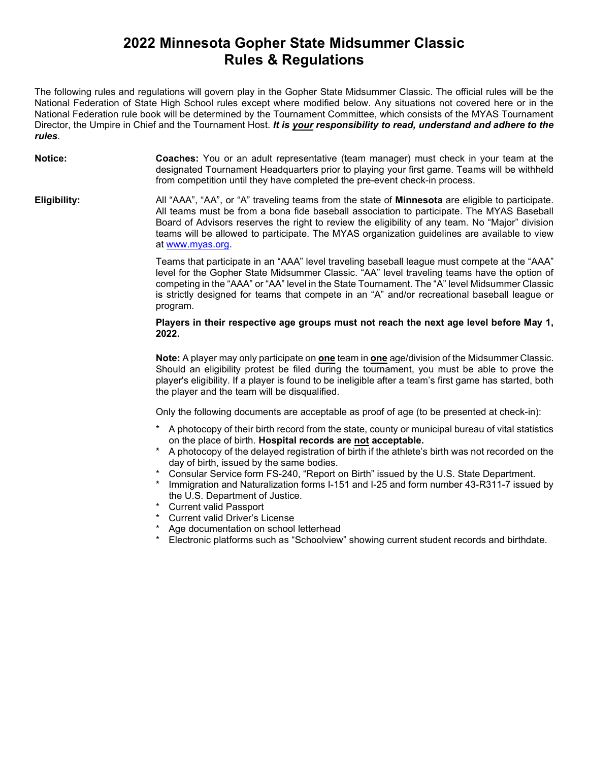## 2022 Minnesota Gopher State Midsummer Classic Rules & Regulations

The following rules and regulations will govern play in the Gopher State Midsummer Classic. The official rules will be the National Federation of State High School rules except where modified below. Any situations not covered here or in the National Federation rule book will be determined by the Tournament Committee, which consists of the MYAS Tournament Director, the Umpire in Chief and the Tournament Host. It is your responsibility to read, understand and adhere to the rules.

| Notice:      | <b>Coaches:</b> You or an adult representative (team manager) must check in your team at the<br>designated Tournament Headquarters prior to playing your first game. Teams will be withheld<br>from competition until they have completed the pre-event check-in process.                                                                                                                                                   |
|--------------|-----------------------------------------------------------------------------------------------------------------------------------------------------------------------------------------------------------------------------------------------------------------------------------------------------------------------------------------------------------------------------------------------------------------------------|
| Eligibility: | All "AAA", "AA", or "A" traveling teams from the state of <b>Minnesota</b> are eligible to participate.<br>All teams must be from a bona fide baseball association to participate. The MYAS Baseball<br>Board of Advisors reserves the right to review the eligibility of any team. No "Major" division<br>teams will be allowed to participate. The MYAS organization guidelines are available to view<br>at www.myas.org. |
|              | Teams that participate in an "AAA" level traveling baseball league must compete at the "AAA"<br>level for the Gopher State Midsummer Classic. "AA" level traveling teams have the option of<br>competing in the "AAA" or "AA" level in the State Tournament. The "A" level Midsummer Classic<br>is strictly designed for teams that compete in an "A" and/or recreational baseball league or<br>program.                    |
|              | Players in their respective age groups must not reach the next age level before May 1,<br>2022.                                                                                                                                                                                                                                                                                                                             |

Note: A player may only participate on one team in one age/division of the Midsummer Classic. Should an eligibility protest be filed during the tournament, you must be able to prove the player's eligibility. If a player is found to be ineligible after a team's first game has started, both the player and the team will be disqualified.

Only the following documents are acceptable as proof of age (to be presented at check-in):

- A photocopy of their birth record from the state, county or municipal bureau of vital statistics on the place of birth. Hospital records are not acceptable.
- \* A photocopy of the delayed registration of birth if the athlete's birth was not recorded on the day of birth, issued by the same bodies.
- Consular Service form FS-240, "Report on Birth" issued by the U.S. State Department.
- Immigration and Naturalization forms I-151 and I-25 and form number 43-R311-7 issued by the U.S. Department of Justice.
- **Current valid Passport**
- \* Current valid Driver's License
- Age documentation on school letterhead
- Electronic platforms such as "Schoolview" showing current student records and birthdate.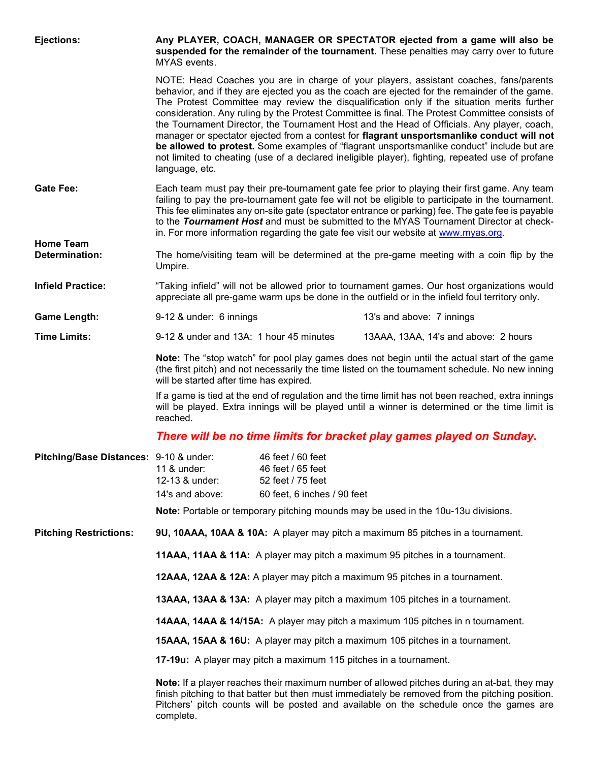| Ejections:                             | Any PLAYER, COACH, MANAGER OR SPECTATOR ejected from a game will also be<br>suspended for the remainder of the tournament. These penalties may carry over to future<br>MYAS events.                                                                                                                    |                                                                                                                                                                                                                                                                                                                                                                                                                                                                                        |                                                                                                                                                                                                                                                                                                                                                                                                                                                                                                                                                                                                                                                                                                                                                                                     |  |
|----------------------------------------|--------------------------------------------------------------------------------------------------------------------------------------------------------------------------------------------------------------------------------------------------------------------------------------------------------|----------------------------------------------------------------------------------------------------------------------------------------------------------------------------------------------------------------------------------------------------------------------------------------------------------------------------------------------------------------------------------------------------------------------------------------------------------------------------------------|-------------------------------------------------------------------------------------------------------------------------------------------------------------------------------------------------------------------------------------------------------------------------------------------------------------------------------------------------------------------------------------------------------------------------------------------------------------------------------------------------------------------------------------------------------------------------------------------------------------------------------------------------------------------------------------------------------------------------------------------------------------------------------------|--|
|                                        | language, etc.                                                                                                                                                                                                                                                                                         |                                                                                                                                                                                                                                                                                                                                                                                                                                                                                        | NOTE: Head Coaches you are in charge of your players, assistant coaches, fans/parents<br>behavior, and if they are ejected you as the coach are ejected for the remainder of the game.<br>The Protest Committee may review the disqualification only if the situation merits further<br>consideration. Any ruling by the Protest Committee is final. The Protest Committee consists of<br>the Tournament Director, the Tournament Host and the Head of Officials. Any player, coach,<br>manager or spectator ejected from a contest for flagrant unsportsmanlike conduct will not<br>be allowed to protest. Some examples of "flagrant unsportsmanlike conduct" include but are<br>not limited to cheating (use of a declared ineligible player), fighting, repeated use of profane |  |
| <b>Gate Fee:</b>                       |                                                                                                                                                                                                                                                                                                        | Each team must pay their pre-tournament gate fee prior to playing their first game. Any team<br>failing to pay the pre-tournament gate fee will not be eligible to participate in the tournament.<br>This fee eliminates any on-site gate (spectator entrance or parking) fee. The gate fee is payable<br>to the Tournament Host and must be submitted to the MYAS Tournament Director at check-<br>in. For more information regarding the gate fee visit our website at www.myas.org. |                                                                                                                                                                                                                                                                                                                                                                                                                                                                                                                                                                                                                                                                                                                                                                                     |  |
| <b>Home Team</b><br>Determination:     | The home/visiting team will be determined at the pre-game meeting with a coin flip by the<br>Umpire.                                                                                                                                                                                                   |                                                                                                                                                                                                                                                                                                                                                                                                                                                                                        |                                                                                                                                                                                                                                                                                                                                                                                                                                                                                                                                                                                                                                                                                                                                                                                     |  |
| <b>Infield Practice:</b>               | "Taking infield" will not be allowed prior to tournament games. Our host organizations would<br>appreciate all pre-game warm ups be done in the outfield or in the infield foul territory only.                                                                                                        |                                                                                                                                                                                                                                                                                                                                                                                                                                                                                        |                                                                                                                                                                                                                                                                                                                                                                                                                                                                                                                                                                                                                                                                                                                                                                                     |  |
| <b>Game Length:</b>                    | 9-12 & under: 6 innings                                                                                                                                                                                                                                                                                |                                                                                                                                                                                                                                                                                                                                                                                                                                                                                        | 13's and above: 7 innings                                                                                                                                                                                                                                                                                                                                                                                                                                                                                                                                                                                                                                                                                                                                                           |  |
| <b>Time Limits:</b>                    | 9-12 & under and 13A: 1 hour 45 minutes                                                                                                                                                                                                                                                                |                                                                                                                                                                                                                                                                                                                                                                                                                                                                                        | 13AAA, 13AA, 14's and above: 2 hours                                                                                                                                                                                                                                                                                                                                                                                                                                                                                                                                                                                                                                                                                                                                                |  |
|                                        | Note: The "stop watch" for pool play games does not begin until the actual start of the game<br>(the first pitch) and not necessarily the time listed on the tournament schedule. No new inning<br>will be started after time has expired.                                                             |                                                                                                                                                                                                                                                                                                                                                                                                                                                                                        |                                                                                                                                                                                                                                                                                                                                                                                                                                                                                                                                                                                                                                                                                                                                                                                     |  |
|                                        | If a game is tied at the end of regulation and the time limit has not been reached, extra innings<br>will be played. Extra innings will be played until a winner is determined or the time limit is<br>reached.                                                                                        |                                                                                                                                                                                                                                                                                                                                                                                                                                                                                        |                                                                                                                                                                                                                                                                                                                                                                                                                                                                                                                                                                                                                                                                                                                                                                                     |  |
|                                        | There will be no time limits for bracket play games played on Sunday.                                                                                                                                                                                                                                  |                                                                                                                                                                                                                                                                                                                                                                                                                                                                                        |                                                                                                                                                                                                                                                                                                                                                                                                                                                                                                                                                                                                                                                                                                                                                                                     |  |
| Pitching/Base Distances: 9-10 & under: | 11 & under:<br>12-13 & under:<br>14's and above:                                                                                                                                                                                                                                                       | 46 feet / 60 feet<br>46 feet / 65 feet<br>52 feet / 75 feet<br>60 feet, 6 inches / 90 feet                                                                                                                                                                                                                                                                                                                                                                                             | <b>Note:</b> Portable or temporary pitching mounds may be used in the 10u-13u divisions.                                                                                                                                                                                                                                                                                                                                                                                                                                                                                                                                                                                                                                                                                            |  |
| <b>Pitching Restrictions:</b>          | 9U, 10AAA, 10AA & 10A: A player may pitch a maximum 85 pitches in a tournament.                                                                                                                                                                                                                        |                                                                                                                                                                                                                                                                                                                                                                                                                                                                                        |                                                                                                                                                                                                                                                                                                                                                                                                                                                                                                                                                                                                                                                                                                                                                                                     |  |
|                                        | 11AAA, 11AA & 11A: A player may pitch a maximum 95 pitches in a tournament.                                                                                                                                                                                                                            |                                                                                                                                                                                                                                                                                                                                                                                                                                                                                        |                                                                                                                                                                                                                                                                                                                                                                                                                                                                                                                                                                                                                                                                                                                                                                                     |  |
|                                        |                                                                                                                                                                                                                                                                                                        |                                                                                                                                                                                                                                                                                                                                                                                                                                                                                        |                                                                                                                                                                                                                                                                                                                                                                                                                                                                                                                                                                                                                                                                                                                                                                                     |  |
|                                        | 12AAA, 12AA & 12A: A player may pitch a maximum 95 pitches in a tournament.                                                                                                                                                                                                                            |                                                                                                                                                                                                                                                                                                                                                                                                                                                                                        |                                                                                                                                                                                                                                                                                                                                                                                                                                                                                                                                                                                                                                                                                                                                                                                     |  |
|                                        | 13AAA, 13AA & 13A: A player may pitch a maximum 105 pitches in a tournament.                                                                                                                                                                                                                           |                                                                                                                                                                                                                                                                                                                                                                                                                                                                                        |                                                                                                                                                                                                                                                                                                                                                                                                                                                                                                                                                                                                                                                                                                                                                                                     |  |
|                                        | 14AAA, 14AA & 14/15A: A player may pitch a maximum 105 pitches in n tournament.                                                                                                                                                                                                                        |                                                                                                                                                                                                                                                                                                                                                                                                                                                                                        |                                                                                                                                                                                                                                                                                                                                                                                                                                                                                                                                                                                                                                                                                                                                                                                     |  |
|                                        | 15AAA, 15AA & 16U: A player may pitch a maximum 105 pitches in a tournament.                                                                                                                                                                                                                           |                                                                                                                                                                                                                                                                                                                                                                                                                                                                                        |                                                                                                                                                                                                                                                                                                                                                                                                                                                                                                                                                                                                                                                                                                                                                                                     |  |
|                                        | 17-19u: A player may pitch a maximum 115 pitches in a tournament.                                                                                                                                                                                                                                      |                                                                                                                                                                                                                                                                                                                                                                                                                                                                                        |                                                                                                                                                                                                                                                                                                                                                                                                                                                                                                                                                                                                                                                                                                                                                                                     |  |
|                                        | Note: If a player reaches their maximum number of allowed pitches during an at-bat, they may<br>finish pitching to that batter but then must immediately be removed from the pitching position.<br>Pitchers' pitch counts will be posted and available on the schedule once the games are<br>complete. |                                                                                                                                                                                                                                                                                                                                                                                                                                                                                        |                                                                                                                                                                                                                                                                                                                                                                                                                                                                                                                                                                                                                                                                                                                                                                                     |  |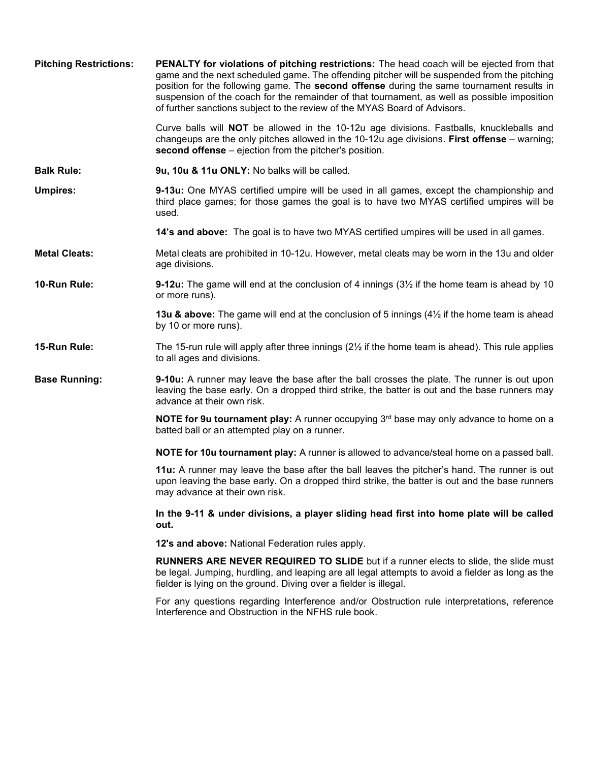| <b>Pitching Restrictions:</b> | <b>PENALTY for violations of pitching restrictions:</b> The head coach will be ejected from that<br>game and the next scheduled game. The offending pitcher will be suspended from the pitching<br>position for the following game. The second offense during the same tournament results in<br>suspension of the coach for the remainder of that tournament, as well as possible imposition<br>of further sanctions subject to the review of the MYAS Board of Advisors. |
|-------------------------------|---------------------------------------------------------------------------------------------------------------------------------------------------------------------------------------------------------------------------------------------------------------------------------------------------------------------------------------------------------------------------------------------------------------------------------------------------------------------------|
|                               | Curve balls will NOT be allowed in the 10-12u age divisions. Fastballs, knuckleballs and<br>changeups are the only pitches allowed in the 10-12u age divisions. First offense – warning;<br>second offense – ejection from the pitcher's position.                                                                                                                                                                                                                        |
| <b>Balk Rule:</b>             | 9u, 10u & 11u ONLY: No balks will be called.                                                                                                                                                                                                                                                                                                                                                                                                                              |
| <b>Umpires:</b>               | 9-13u: One MYAS certified umpire will be used in all games, except the championship and<br>third place games; for those games the goal is to have two MYAS certified umpires will be<br>used.                                                                                                                                                                                                                                                                             |
|                               | 14's and above: The goal is to have two MYAS certified umpires will be used in all games.                                                                                                                                                                                                                                                                                                                                                                                 |
| <b>Metal Cleats:</b>          | Metal cleats are prohibited in 10-12u. However, metal cleats may be worn in the 13u and older<br>age divisions.                                                                                                                                                                                                                                                                                                                                                           |
| 10-Run Rule:                  | <b>9-12u:</b> The game will end at the conclusion of 4 innings $(3\frac{1}{2})$ if the home team is ahead by 10<br>or more runs).                                                                                                                                                                                                                                                                                                                                         |
|                               | <b>13u &amp; above:</b> The game will end at the conclusion of 5 innings $(4\frac{1}{2})$ if the home team is ahead<br>by 10 or more runs).                                                                                                                                                                                                                                                                                                                               |
| 15-Run Rule:                  | The 15-run rule will apply after three innings $(2\frac{1}{2})$ if the home team is ahead). This rule applies<br>to all ages and divisions.                                                                                                                                                                                                                                                                                                                               |
| <b>Base Running:</b>          | 9-10u: A runner may leave the base after the ball crosses the plate. The runner is out upon<br>leaving the base early. On a dropped third strike, the batter is out and the base runners may<br>advance at their own risk.                                                                                                                                                                                                                                                |
|                               | <b>NOTE for 9u tournament play:</b> A runner occupying 3 <sup>rd</sup> base may only advance to home on a<br>batted ball or an attempted play on a runner.                                                                                                                                                                                                                                                                                                                |
|                               | NOTE for 10u tournament play: A runner is allowed to advance/steal home on a passed ball.                                                                                                                                                                                                                                                                                                                                                                                 |
|                               | 11u: A runner may leave the base after the ball leaves the pitcher's hand. The runner is out<br>upon leaving the base early. On a dropped third strike, the batter is out and the base runners<br>may advance at their own risk.                                                                                                                                                                                                                                          |
|                               | In the 9-11 & under divisions, a player sliding head first into home plate will be called<br>out.                                                                                                                                                                                                                                                                                                                                                                         |
|                               | 12's and above: National Federation rules apply.                                                                                                                                                                                                                                                                                                                                                                                                                          |
|                               | RUNNERS ARE NEVER REQUIRED TO SLIDE but if a runner elects to slide, the slide must<br>be legal. Jumping, hurdling, and leaping are all legal attempts to avoid a fielder as long as the<br>fielder is lying on the ground. Diving over a fielder is illegal.                                                                                                                                                                                                             |
|                               | For any questions regarding Interference and/or Obstruction rule interpretations, reference<br>Interference and Obstruction in the NFHS rule book.                                                                                                                                                                                                                                                                                                                        |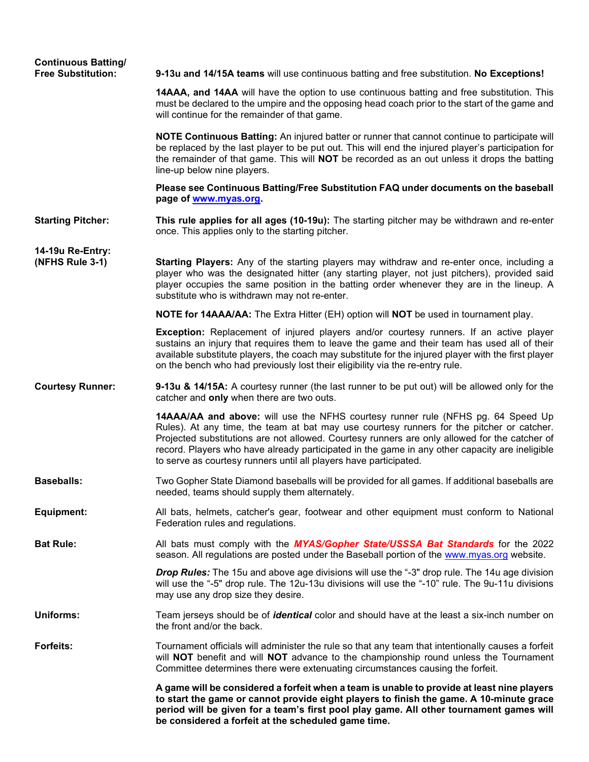| <b>Continuous Batting/</b><br><b>Free Substitution:</b> | 9-13u and 14/15A teams will use continuous batting and free substitution. No Exceptions!                                                                                                                                                                                                                                                                                                                                                              |
|---------------------------------------------------------|-------------------------------------------------------------------------------------------------------------------------------------------------------------------------------------------------------------------------------------------------------------------------------------------------------------------------------------------------------------------------------------------------------------------------------------------------------|
|                                                         | 14AAA, and 14AA will have the option to use continuous batting and free substitution. This<br>must be declared to the umpire and the opposing head coach prior to the start of the game and<br>will continue for the remainder of that game.                                                                                                                                                                                                          |
|                                                         | NOTE Continuous Batting: An injured batter or runner that cannot continue to participate will<br>be replaced by the last player to be put out. This will end the injured player's participation for<br>the remainder of that game. This will <b>NOT</b> be recorded as an out unless it drops the batting<br>line-up below nine players.                                                                                                              |
|                                                         | Please see Continuous Batting/Free Substitution FAQ under documents on the baseball<br>page of www.myas.org.                                                                                                                                                                                                                                                                                                                                          |
| <b>Starting Pitcher:</b>                                | This rule applies for all ages (10-19u): The starting pitcher may be withdrawn and re-enter<br>once. This applies only to the starting pitcher.                                                                                                                                                                                                                                                                                                       |
| 14-19u Re-Entry:<br>(NFHS Rule 3-1)                     | Starting Players: Any of the starting players may withdraw and re-enter once, including a<br>player who was the designated hitter (any starting player, not just pitchers), provided said<br>player occupies the same position in the batting order whenever they are in the lineup. A<br>substitute who is withdrawn may not re-enter.                                                                                                               |
|                                                         | NOTE for 14AAA/AA: The Extra Hitter (EH) option will NOT be used in tournament play.                                                                                                                                                                                                                                                                                                                                                                  |
|                                                         | <b>Exception:</b> Replacement of injured players and/or courtesy runners. If an active player<br>sustains an injury that requires them to leave the game and their team has used all of their<br>available substitute players, the coach may substitute for the injured player with the first player<br>on the bench who had previously lost their eligibility via the re-entry rule.                                                                 |
| <b>Courtesy Runner:</b>                                 | 9-13u & 14/15A: A courtesy runner (the last runner to be put out) will be allowed only for the<br>catcher and only when there are two outs.                                                                                                                                                                                                                                                                                                           |
|                                                         | 14AAA/AA and above: will use the NFHS courtesy runner rule (NFHS pg. 64 Speed Up<br>Rules). At any time, the team at bat may use courtesy runners for the pitcher or catcher.<br>Projected substitutions are not allowed. Courtesy runners are only allowed for the catcher of<br>record. Players who have already participated in the game in any other capacity are ineligible<br>to serve as courtesy runners until all players have participated. |
| <b>Baseballs:</b>                                       | Two Gopher State Diamond baseballs will be provided for all games. If additional baseballs are<br>needed, teams should supply them alternately.                                                                                                                                                                                                                                                                                                       |
| Equipment:                                              | All bats, helmets, catcher's gear, footwear and other equipment must conform to National<br>Federation rules and regulations.                                                                                                                                                                                                                                                                                                                         |
| <b>Bat Rule:</b>                                        | All bats must comply with the MYAS/Gopher State/USSSA Bat Standards for the 2022<br>season. All regulations are posted under the Baseball portion of the www.myas.org website.                                                                                                                                                                                                                                                                        |
|                                                         | <b>Drop Rules:</b> The 15u and above age divisions will use the "-3" drop rule. The 14u age division<br>will use the "-5" drop rule. The 12u-13u divisions will use the "-10" rule. The 9u-11u divisions<br>may use any drop size they desire.                                                                                                                                                                                                        |
| <b>Uniforms:</b>                                        | Team jerseys should be of <i>identical</i> color and should have at the least a six-inch number on<br>the front and/or the back.                                                                                                                                                                                                                                                                                                                      |
| <b>Forfeits:</b>                                        | Tournament officials will administer the rule so that any team that intentionally causes a forfeit<br>will NOT benefit and will NOT advance to the championship round unless the Tournament<br>Committee determines there were extenuating circumstances causing the forfeit.                                                                                                                                                                         |
|                                                         | A game will be considered a forfeit when a team is unable to provide at least nine players<br>to start the game or cannot provide eight players to finish the game. A 10-minute grace<br>period will be given for a team's first pool play game. All other tournament games will<br>be considered a forfeit at the scheduled game time.                                                                                                               |